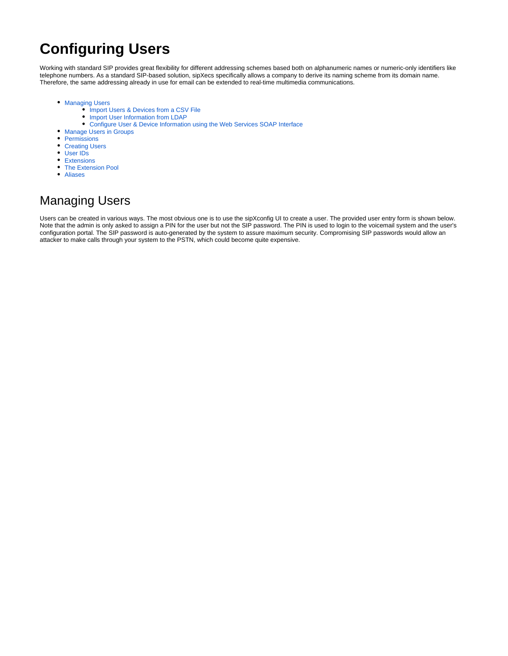# **Configuring Users**

Working with standard SIP provides great flexibility for different addressing schemes based both on alphanumeric names or numeric-only identifiers like telephone numbers. As a standard SIP-based solution, sipXecs specifically allows a company to derive its naming scheme from its domain name. Therefore, the same addressing already in use for email can be extended to real-time multimedia communications.

- **[Managing Users](#page-0-0)** 
	- [Import Users & Devices from a CSV File](#page-2-0)
	- [Import User Information from LDAP](#page-2-1)
	- [Configure User & Device Information using the Web Services SOAP Interface](#page-2-2)
- [Manage Users in Groups](#page-2-3)
- [Permissions](#page-2-4)
- [Creating Users](#page-3-0)
- [User IDs](#page-4-0)
- [Extensions](#page-4-1)
- [The Extension Pool](#page-5-0)
- [Aliases](#page-5-1)

# <span id="page-0-0"></span>Managing Users

Users can be created in various ways. The most obvious one is to use the sipXconfig UI to create a user. The provided user entry form is shown below. Note that the admin is only asked to assign a PIN for the user but not the SIP password. The PIN is used to login to the voicemail system and the user's configuration portal. The SIP password is auto-generated by the system to assure maximum security. Compromising SIP passwords would allow an attacker to make calls through your system to the PSTN, which could become quite expensive.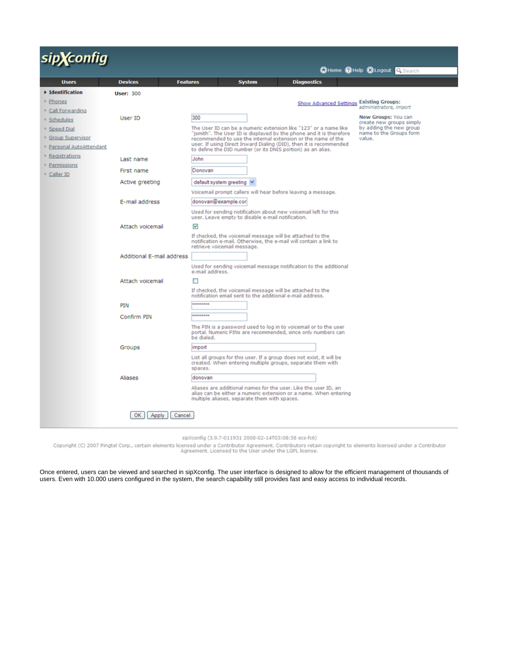# sip**X**config

|                                    |                                   |                                                                                                                                                                                     |               | mount County Corner of Petites          |                                                    |  |
|------------------------------------|-----------------------------------|-------------------------------------------------------------------------------------------------------------------------------------------------------------------------------------|---------------|-----------------------------------------|----------------------------------------------------|--|
| <b>Users</b>                       | <b>Devices</b><br><b>Features</b> |                                                                                                                                                                                     | <b>System</b> | <b>Diagnostics</b>                      |                                                    |  |
| ▶ Identification                   | <b>User: 300</b>                  |                                                                                                                                                                                     |               |                                         |                                                    |  |
| ▶ Phones                           |                                   |                                                                                                                                                                                     |               | Show Advanced Settings Existing Groups: |                                                    |  |
| Call Forwarding                    |                                   |                                                                                                                                                                                     |               |                                         | administrators, import                             |  |
| Schedules                          | User ID                           | 300                                                                                                                                                                                 |               |                                         | New Groups: You can<br>create new groups simply    |  |
| Speed Dial                         |                                   | The User ID can be a numeric extension like "123" or a name like<br>"jsmith". The User ID is displayed by the phone and it is therefore                                             |               |                                         | by adding the new group<br>name to the Groups form |  |
| <b>Sroup Supervisor</b>            |                                   | recommended to use the internal extension or the name of the                                                                                                                        |               |                                         | value.                                             |  |
| <b>&gt; Personal AutoAttendant</b> |                                   | user. If using Direct Inward Dialing (DID), then it is recommended<br>to define the DID number (or its DNIS portion) as an alias.                                                   |               |                                         |                                                    |  |
| ▷ Registrations                    | Last name                         | John                                                                                                                                                                                |               |                                         |                                                    |  |
| Permissions                        | First name                        | Donovan                                                                                                                                                                             |               |                                         |                                                    |  |
| Caller ID                          | Active greeting                   | default system greeting v                                                                                                                                                           |               |                                         |                                                    |  |
|                                    |                                   | Voicemail prompt callers will hear before leaving a message.                                                                                                                        |               |                                         |                                                    |  |
|                                    | E-mail address                    | donovan@example.cor                                                                                                                                                                 |               |                                         |                                                    |  |
|                                    |                                   | Used for sending notification about new voicemail left for this<br>user. Leave empty to disable e-mail notification.                                                                |               |                                         |                                                    |  |
|                                    | Attach voicemail                  | $\overline{\mathbf{v}}$                                                                                                                                                             |               |                                         |                                                    |  |
|                                    |                                   | If checked, the voicemail message will be attached to the<br>notification e-mail. Otherwise, the e-mail will contain a link to<br>retrieve voicemail message.                       |               |                                         |                                                    |  |
|                                    | <b>Additional E-mail address</b>  |                                                                                                                                                                                     |               |                                         |                                                    |  |
|                                    |                                   | Used for sending voicemail message notification to the additional<br>e-mail address.                                                                                                |               |                                         |                                                    |  |
|                                    | Attach voicemail                  | п                                                                                                                                                                                   |               |                                         |                                                    |  |
|                                    |                                   | If checked, the voicemail message will be attached to the<br>notification email sent to the additional e-mail address.                                                              |               |                                         |                                                    |  |
|                                    | PIN                               | *********                                                                                                                                                                           |               |                                         |                                                    |  |
|                                    | Confirm PIN                       | *********                                                                                                                                                                           |               |                                         |                                                    |  |
|                                    |                                   | The PIN is a password used to log in to voicemail or to the user<br>portal. Numeric PINs are recommended, since only numbers can<br>be dialed.                                      |               |                                         |                                                    |  |
|                                    | Groups                            | import                                                                                                                                                                              |               |                                         |                                                    |  |
|                                    |                                   | List all groups for this user. If a group does not exist, it will be<br>created. When entering multiple groups, separate them with<br>spaces.                                       |               |                                         |                                                    |  |
|                                    | Aliases                           | donovan                                                                                                                                                                             |               |                                         |                                                    |  |
|                                    |                                   | Aliases are additional names for the user. Like the user ID, an<br>alias can be either a numeric extension or a name. When entering<br>multiple aliases, separate them with spaces. |               |                                         |                                                    |  |
|                                    | OK<br>Cancel<br>Apply             |                                                                                                                                                                                     |               |                                         |                                                    |  |
|                                    |                                   |                                                                                                                                                                                     |               |                                         |                                                    |  |

sipXconfig (3.9.7-011931 2008-02-14T03:08:58 ecs-fc6)

Copyright (C) 2007 Pingtel Corp., certain elements licensed under a Contributor Agreement. Contributors retain copyright to elements licensed under a Contributor<br>Agreement. Licensed to the User under the LGPL license.

Once entered, users can be viewed and searched in sipXconfig. The user interface is designed to allow for the efficient management of thousands of users. Even with 10.000 users configured in the system, the search capability still provides fast and easy access to individual records.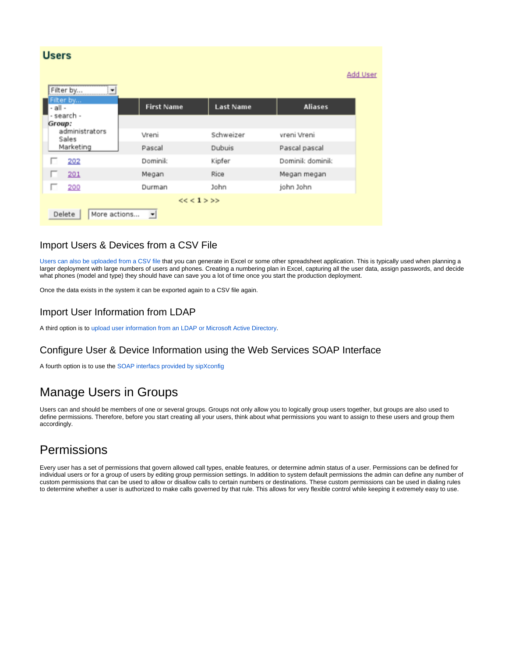| <b>Users</b>                                                 |                              |                            |                              | <b>Add User</b> |
|--------------------------------------------------------------|------------------------------|----------------------------|------------------------------|-----------------|
| Filter by<br>٠<br>Filter by<br>- all -                       | <b>First Name</b>            | <b>Last Name</b>           | <b>Aliases</b>               |                 |
| - search -<br>Group:<br>administrators<br>Sales<br>Marketing | Vreni<br>Pascal              | Schweizer<br><b>Dubuis</b> | vreni Vreni<br>Pascal pascal |                 |
| 202<br>п                                                     | Dominik                      | Kipfer                     | Dominik dominik              |                 |
| 201                                                          | Megan                        | Rice                       | Megan megan                  |                 |
| 200<br>ш                                                     | Durman                       | John                       | john John                    |                 |
| More actions<br>Delete                                       | $\left  \frac{1}{2} \right $ | $<< 1$ >>>                 |                              |                 |

#### <span id="page-2-0"></span>Import Users & Devices from a CSV File

[Users can also be uploaded from a CSV file](https://wiki.ezuce.com/display/sipXcom/Import+User+and+Device+Data+from+CSV+Files) that you can generate in Excel or some other spreadsheet application. This is typically used when planning a larger deployment with large numbers of users and phones. Creating a numbering plan in Excel, capturing all the user data, assign passwords, and decide what phones (model and type) they should have can save you a lot of time once you start the production deployment.

Once the data exists in the system it can be exported again to a CSV file again.

#### <span id="page-2-1"></span>Import User Information from LDAP

A third option is to [upload user information from an LDAP or Microsoft Active Directory.](https://wiki.ezuce.com/display/sipXcom/LDAP+Integration)

#### <span id="page-2-2"></span>Configure User & Device Information using the Web Services SOAP Interface

A fourth option is to use the [SOAP interfacs provided by sipXconfig](https://wiki.ezuce.com/display/sipXcom/Configuration+SOAP+API)

## <span id="page-2-3"></span>Manage Users in Groups

Users can and should be members of one or several groups. Groups not only allow you to logically group users together, but groups are also used to define permissions. Therefore, before you start creating all your users, think about what permissions you want to assign to these users and group them accordingly.

# <span id="page-2-4"></span>**Permissions**

Every user has a set of permissions that govern allowed call types, enable features, or determine admin status of a user. Permissions can be defined for individual users or for a group of users by editing group permission settings. In addition to system default permissions the admin can define any number of custom permissions that can be used to allow or disallow calls to certain numbers or destinations. These custom permissions can be used in dialing rules to determine whether a user is authorized to make calls governed by that rule. This allows for very flexible control while keeping it extremely easy to use.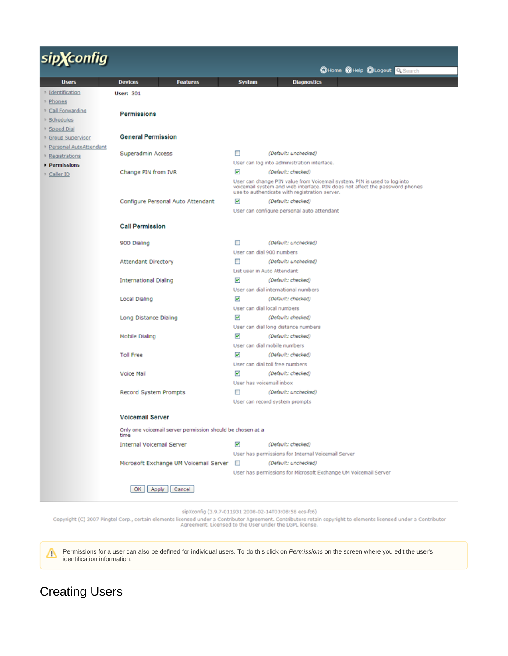| <b>X</b> config<br>Sİ    |                                                                    |                              |                                                                                                                                                                                                          |
|--------------------------|--------------------------------------------------------------------|------------------------------|----------------------------------------------------------------------------------------------------------------------------------------------------------------------------------------------------------|
|                          |                                                                    |                              | CHome CHelp CLogout Q Search                                                                                                                                                                             |
| <b>Users</b>             | <b>Devices</b><br><b>Features</b>                                  | <b>System</b>                | <b>Diagnostics</b>                                                                                                                                                                                       |
| > Identification         | <b>User: 301</b>                                                   |                              |                                                                                                                                                                                                          |
| <b>&gt; Phones</b>       |                                                                    |                              |                                                                                                                                                                                                          |
| > Call Forwarding        | <b>Permissions</b>                                                 |                              |                                                                                                                                                                                                          |
| Schedules                |                                                                    |                              |                                                                                                                                                                                                          |
| > Speed Dial             |                                                                    |                              |                                                                                                                                                                                                          |
| Sroup Supervisor         | <b>General Permission</b>                                          |                              |                                                                                                                                                                                                          |
| > Personal AutoAttendant |                                                                    |                              |                                                                                                                                                                                                          |
| Registrations            | Superadmin Access                                                  | □                            | (Default: unchecked)                                                                                                                                                                                     |
| Permissions              |                                                                    |                              | User can log into administration interface.                                                                                                                                                              |
| > Caller ID              | Change PIN from IVR                                                | $\overline{\mathbf{v}}$      | (Default: checked)                                                                                                                                                                                       |
|                          |                                                                    |                              | User can change PIN value from Voicemail system. PIN is used to log into<br>voicemail system and web interface. PIN does not affect the password phones<br>use to authenticate with registration server. |
|                          | Configure Personal Auto Attendant                                  | $\overline{\mathbf{v}}$      | (Default: checked)                                                                                                                                                                                       |
|                          |                                                                    |                              | User can configure personal auto attendant                                                                                                                                                               |
|                          | <b>Call Permission</b>                                             |                              |                                                                                                                                                                                                          |
|                          |                                                                    |                              |                                                                                                                                                                                                          |
|                          | 900 Dialing                                                        | □                            | (Default: unchecked)                                                                                                                                                                                     |
|                          |                                                                    | User can dial 900 numbers    |                                                                                                                                                                                                          |
|                          | Attendant Directory                                                | □                            | (Default: unchecked)                                                                                                                                                                                     |
|                          |                                                                    | List user in Auto Attendant  |                                                                                                                                                                                                          |
|                          | <b>International Dialing</b>                                       | ◛                            | (Default: checked)                                                                                                                                                                                       |
|                          |                                                                    |                              | User can dial international numbers                                                                                                                                                                      |
|                          | Local Dialing                                                      | $\overline{\mathbf{v}}$      | (Default: checked)                                                                                                                                                                                       |
|                          |                                                                    | User can dial local numbers  |                                                                                                                                                                                                          |
|                          | Long Distance Dialing                                              | ◛                            | (Default: checked)                                                                                                                                                                                       |
|                          |                                                                    |                              | User can dial long distance numbers                                                                                                                                                                      |
|                          | Mobile Dialing                                                     | ☑                            | (Default: checked)                                                                                                                                                                                       |
|                          |                                                                    | User can dial mobile numbers |                                                                                                                                                                                                          |
|                          | <b>Toll Free</b>                                                   | ▿                            | (Default: checked)                                                                                                                                                                                       |
|                          |                                                                    |                              | User can dial toll free numbers                                                                                                                                                                          |
|                          | Voice Mail                                                         | ◛                            | (Default: checked)                                                                                                                                                                                       |
|                          |                                                                    | User has voicemail inbox     |                                                                                                                                                                                                          |
|                          | Record System Prompts                                              | □                            | (Default: unchecked)                                                                                                                                                                                     |
|                          |                                                                    |                              | User can record system prompts                                                                                                                                                                           |
|                          | <b>Voicemail Server</b>                                            |                              |                                                                                                                                                                                                          |
|                          | Only one voicemail server permission should be chosen at a<br>time |                              |                                                                                                                                                                                                          |
|                          | <b>Internal Voicemail Server</b>                                   | $\overline{\mathbf{v}}$      | (Default: checked)                                                                                                                                                                                       |
|                          |                                                                    |                              | User has permissions for Internal Voicemail Server                                                                                                                                                       |
|                          | Microsoft Exchange UM Voicemail Server                             | ш                            | (Default: unchecked)                                                                                                                                                                                     |
|                          |                                                                    |                              | User has permissions for Microsoft Exchange UM Voicemail Server                                                                                                                                          |
|                          | OK<br>Cancel<br>Apply                                              |                              |                                                                                                                                                                                                          |

Copyright (C) 2007 Pingtel Corp., certain elements licensed under a Contributor Agreement. Contributors retain copyright to elements licensed under a Contributor<br>Agreement. Licensed to the User under the LGPL license.

Δ Permissions for a user can also be defined for individual users. To do this click on Permissions on the screen where you edit the user's identification information.

# <span id="page-3-0"></span>Creating Users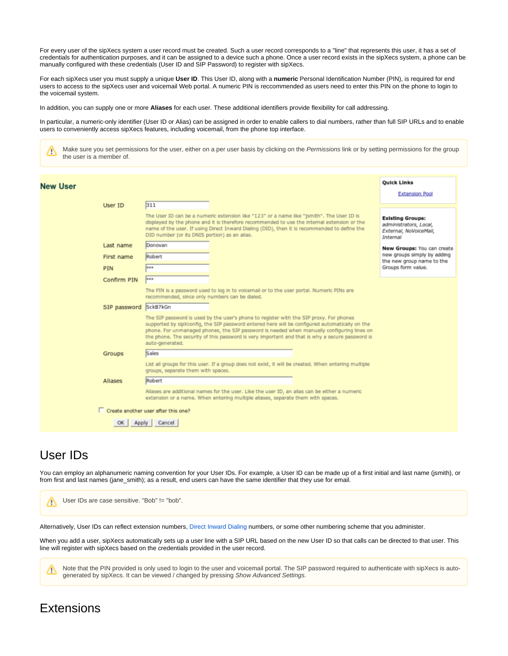For every user of the sipXecs system a user record must be created. Such a user record corresponds to a "line" that represents this user, it has a set of credentials for authentication purposes, and it can be assigned to a device such a phone. Once a user record exists in the sipXecs system, a phone can be manually configured with these credentials (User ID and SIP Password) to register with sipXecs.

For each sipXecs user you must supply a unique **User ID**. This User ID, along with a **numeric** Personal Identification Number (PIN), is required for end users to access to the sipXecs user and voicemail Web portal. A numeric PIN is reccommended as users need to enter this PIN on the phone to login to the voicemail system.

In addition, you can supply one or more **Aliases** for each user. These additional identifiers provide flexibility for call addressing.

In particular, a numeric-only identifier (User ID or Alias) can be assigned in order to enable callers to dial numbers, rather than full SIP URLs and to enable users to conveniently access sipXecs features, including voicemail, from the phone top interface.

Make sure you set permissions for the user, either on a per user basis by clicking on the Permissions link or by setting permissions for the group М the user is a member of.

| <b>New User</b><br>User ID | 311                                                                                                                                                                                                                                                                                                                                                                                                           | <b>Quick Links</b><br><b>Extension Pool</b>                                             |
|----------------------------|---------------------------------------------------------------------------------------------------------------------------------------------------------------------------------------------------------------------------------------------------------------------------------------------------------------------------------------------------------------------------------------------------------------|-----------------------------------------------------------------------------------------|
|                            | The User ID can be a numeric extension like "123" or a name like "jsmith". The User ID is<br>displayed by the phone and it is therefore recommended to use the internal extension or the<br>name of the user. If using Direct Inward Dialing (DID), then it is recommended to define the<br>DID number (or its DNIS portion) as an alias.                                                                     | <b>Existing Groups:</b><br>administrators, Local,<br>External, NoVoiceMail,<br>Internal |
| Last name                  | Donovan                                                                                                                                                                                                                                                                                                                                                                                                       | New Groups: You can create                                                              |
| First name                 | Robert                                                                                                                                                                                                                                                                                                                                                                                                        | new groups simply by adding<br>the new group name to the                                |
| PIN                        | <b>HER</b>                                                                                                                                                                                                                                                                                                                                                                                                    | Groups form value.                                                                      |
| Confirm PIN                | <b>HEE</b>                                                                                                                                                                                                                                                                                                                                                                                                    |                                                                                         |
|                            | The PIN is a password used to log in to voicemail or to the user portal. Numeric PINs are<br>recommended, since only numbers can be dialed.                                                                                                                                                                                                                                                                   |                                                                                         |
| SIP password               | SckB7kGn                                                                                                                                                                                                                                                                                                                                                                                                      |                                                                                         |
|                            | The SIP password is used by the user's phone to register with the SIP proxy. For phones<br>supported by sipXconfig, the SIP password entered here will be configured automatically on the<br>phone. For unmanaged phones, the SIP password is needed when manually configuring lines on<br>the phone. The security of this password is very important and that is why a secure password is<br>auto-generated. |                                                                                         |
| Groups                     | Sales                                                                                                                                                                                                                                                                                                                                                                                                         |                                                                                         |
|                            | List all groups for this user. If a group does not exist, it will be created. When entering multiple<br>groups, separate them with spaces.                                                                                                                                                                                                                                                                    |                                                                                         |
| Aliases                    | Robert                                                                                                                                                                                                                                                                                                                                                                                                        |                                                                                         |
|                            | Aliases are additional names for the user. Like the user ID, an alias can be either a numeric<br>extension or a name. When entering multiple aliases, separate them with spaces.                                                                                                                                                                                                                              |                                                                                         |
|                            | Create another user after this one?                                                                                                                                                                                                                                                                                                                                                                           |                                                                                         |
| ОК                         | Apply   Cancel                                                                                                                                                                                                                                                                                                                                                                                                |                                                                                         |

### <span id="page-4-0"></span>User IDs

You can employ an alphanumeric naming convention for your User IDs. For example, a User ID can be made up of a first initial and last name (jsmith), or from first and last names (jane\_smith); as a result, end users can have the same identifier that they use for email.



Note that the PIN provided is only used to login to the user and voicemail portal. The SIP password required to authenticate with sipXecs is autogenerated by sipXecs. It can be viewed / changed by pressing Show Advanced Settings.

### <span id="page-4-1"></span>**Extensions**